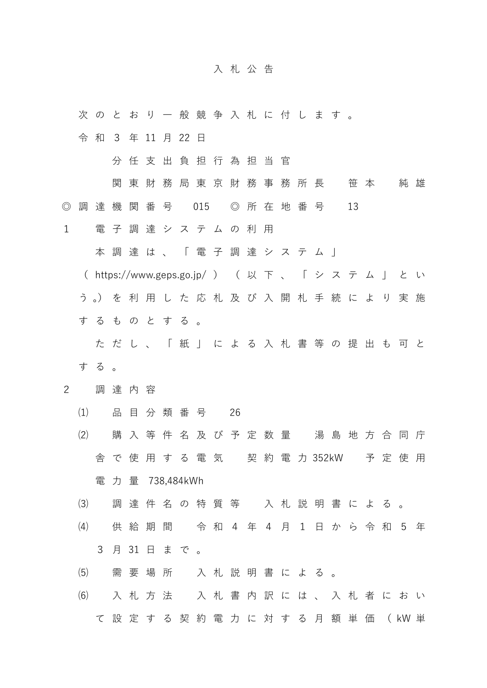## 入札公告

次 の と お り 一 般 競 争 入 札 に 付 し ま す 。

令 和 3 年 11 月 22 日

分 任 支 出 負 担 行 為 担 当 官

関 東 財 務 局 東 京 財 務 事 務 所 長 て 笹 本 で 純 雄 ◎ 調 達 機 関 番 号 015 ◎ 所 在 地 番 号 13

1 電 子 調 達 シ ス テ ム の 利 用

本 調 達 は 、 「 電 子 調 達 シ ス テ ム 」

( https://www.geps.go.jp/ ) ( 以 下 、 「 シ ス テ ム 」 と い う 。) を 利 用 し た 応 札 及 び 入 開 札 手 続 に よ り 実 施 す る も の と す る 。

ただし、 「 紙 」 に よ る 入 札 書 等 の 提 出 も 可 と する。

- 2 調 達 内 容
	- (1) 品 目 分 類 番 号 26
	- (2) 購 入 等 件 名 及 び 予 定 数 量 湯 島 地 方 合 同 庁 舎 で 使 用 す る 電 気 契 約 電 力 1 5 kW 予定使用 電力 量 738.484kWh
	- ⑶ 調 達 件 名 の 特 質 等 入 札 説 明 書 に よ る 。
	- ⑷ 供 給 期 間 令 和 4 年 4 月 1 日 か ら 令 和 5 年 3 月 31 日 ま で 。
	- ⑸ 需 要 場 所 入 札 説 明 書 に よ る 。
	- ⑹ 入 札 方 法 入 札 書 内 訳 に は 、 入 札 者 に お い て 設 定 す る 契 約 電 力 に 対 す る 月 額 単 価 ( kW 単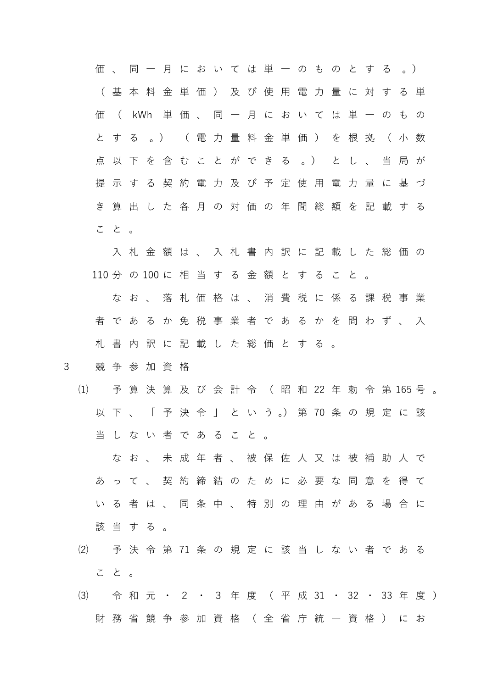価 、 同 一 月 に お い て は 単 一 の も の と す る 。) ( 基 本 料 金 単 価 ) 及 び 使 用 電 力 量 に 対 す る 単 価 ( kWh 単 価 、 同 一 月 に お い て は 単 一 の も の と す る 。) (電力 量 料 金 単 価 ) を 根 拠 ( 小 数 点 以 下 を 含 む こ と が で き る 。) と し 、 当 局 が 提 示 す る 契 約 電 力 及 び 予 定 使 用 電 力 量 に 基 づ き 算 出 し た 各 月 の 対 価 の 年 間 総 額 を 記載する こと。 入 札 金 額 は 、 入 札 書 内 訳 に 記 載 し た 総 価 の 110 分 の 100 に 相 当 す る 金 額 と す る こ と 。 な お 、 落 札 価 格 は 、 消 費 税 に 係 る 課 税 事 業 者 で あ る か 免 税 事 業 者 で あ る か を 問 わ ず 、 入 札 書 内 訳 に 記 載 し た 総 価 と す る 。 3 競 争 参 加 資 格 (1) 予 算 決 算 及 び 会 計 令 ( 昭 和 22 年 勅 令 第 165 号 。 以 下 、 「 予 決 令 」 と い う 。) 第 70 条 の 規 定 に 該

当 し な い 者 で あ る こ と 。

な お 、 未 成 年 者 、 被 保 佐 人 又 は 被 補 助 人 で あ っ て 、 契 約 締 結 の た め に 必 要 な 同 意 を 得 て いる者は、同条中、特別の理由がある場合に 該当する。

- ⑵ 予決令 第 13 条 の 規 定 に 該 当 し な い 者 で あ る こと。
- (3) 令 和 元 · 2 · 3 年 度 (平 成 31 · 32 · 33 年 度 ) 財 務 省 競 争 参 加 資 格 ( 全 省 庁 統 一 資 格 ) に お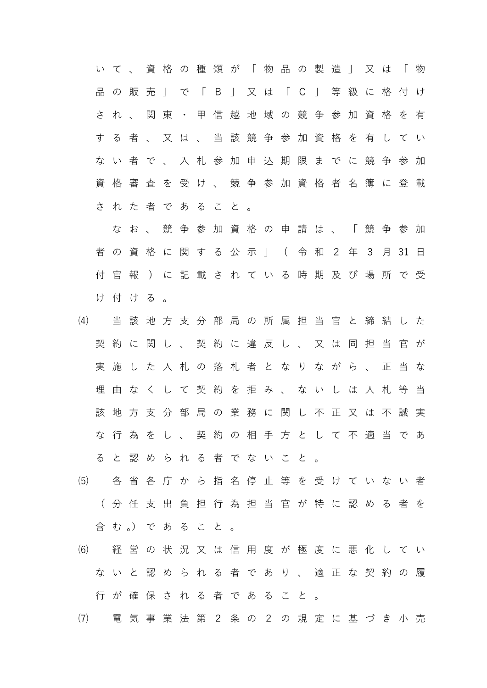い て 、 資 格 の 種 類 が 「 物 品 の 製 造 」 又 は 「 物 品 の 販 売 」 で 「 B 」 又 は 「 C 」 等 級 に 格 付 け され、関東·甲信越地域の競争参加資格を有 す る 者 、 又 は 、 当 該 競 争 参 加 資 格 を 有 し て い な い 者 で 、 入 札 参 加 申 込 期 限 ま で に 競 争 参 加 資 格 審 査 を 受 け 、 競 争 参 加 資 格 者 名 簿 に 登 載 さ れ た 者 で あ る こ と 。

な お 、 競 争 参 加 資 格 の 申 請 は 、 「 競 争 参 加 者 の 資 格 に 関 す る 公 示 」 ( 令 和 2 年 3 月 31 日 付 官 報 1 に 記 載 さ れ て い る 時 期 及 び 場 所 で 受 け付ける。

- ⑷ 当 該 地 方 支 分 部 局 の 所 属 担 当 官 と 締 結 し た 契約に関し、契約に違反し、又は同担当官が 実 施 し た 入 札 の 落 札 者 と な り な が ら 、 正 当 な 理 由 な く し て 契 約 を 拒 み 、 な い し は 入 札 等 当 該 地 方 支 分 部 局 の 業 務 に 関 し 不 正 又 は 不 誠 実 な 行 為 を し 、 契 約 の 相 手 方 と し て 不 適 当 で あ る と 認 め ら れ る 者 で な い こ と 。
- ⑸ 各 省 各 庁 か ら 指 名 停 止 等 を 受 け て い な い 者 ( 分 任 支 出 負 担 行 為 担 当 官 が 特 に 認 め る 者 を 含 む 。) で あ る こ と 。
- ⑹ 経 営 の 状 況 又 は 信 用 度 が 極 度 に 悪 化 し て い な い と 認 め ら れ る 者 で あ り 、 適 正 な 契 約 の 履 行 が 確 保 さ れ る 者 で あ る こ と 。
- ⑺ 電 気 事 業 法 第 2 条 の 2 の 規 定 に 基 づ き 小 売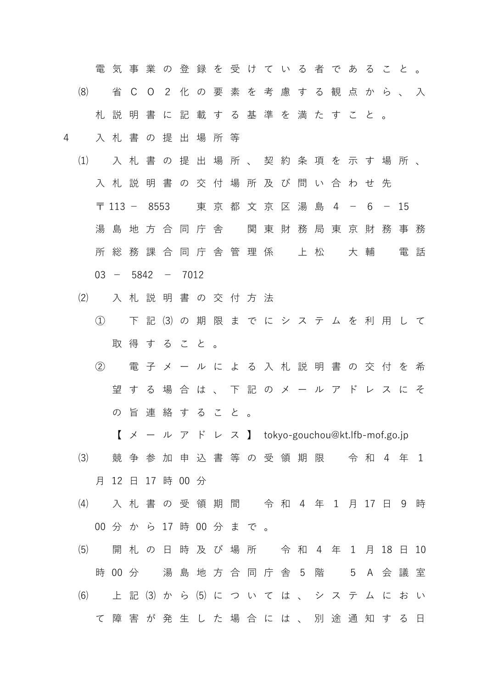電気事業の登録を受けている者であること。

- ⑻ 省CO 2 化 の 要 素 を 考 慮 す る 観 点 か ら 、 入 札 説 明 書 に 記 載 す る 基 準 を 満 た す こ と 。
- 4 入 札 書 の 提 出 場 所 等
	- ⑴ 入 札 書 の 提 出 場 所 、 契 約 条 項 を 示 す 場 所 、 入 札 説 明 書 の 交 付 場 所 及 び 問 い 合 わ せ 先 〒 113 - 8553 東 京 都 文 京 区 湯 島 4 - 6 - 15 湯 島 地 方 合 同 庁 舎 関 東 財 務 局 東 京 財 務 事 務 所 総 務 課 合 同 庁 舎 管 理 係 て 上 松 て 大 輔 て 電 話  $03 - 5842 - 7012$
	- ⑵ 入 札 説 明 書 の 交 付 方 法
		- ① 下 記 ⑶ の 期 限 ま で に シ ス テ ム を 利 用 し て 取 得 す る こ と 。
		- ② 電 子 メ ー ル に よ る 入 札 説 明 書 の 交 付 を 希 望 す る 場 合 は 、 下 記 の メ ー ル ア ド レ ス に そ の 旨 連 絡 す る こ と 。
			- $X \nu$   $Y \times \nu$   $X$  l tokyo-gouchou@kt.lfb-mof.go.jp
	- ⑶ 競 争 参 加 申 込 書 等 の 受 領 期 限 令 和 4 年 1 月 12 日 17 時 00 分
	- (4) 入札書の受領期間 令和4年1月17日9時 00 分 か ら 17 時 00 分 ま で 。
	- (5) 開札の日時及び場所 令和4年1月18日10 時 00 分 湯 島 地 方 合 同 庁 舎 5 階 5 A 会 議 室 ⑹ 上 記 ⑶ か ら ⑸ に つ い て は 、 シ ス テ ム におい て 障 害 が 発 生 し た 場 合 に は 、 別 途 通 知 す る 日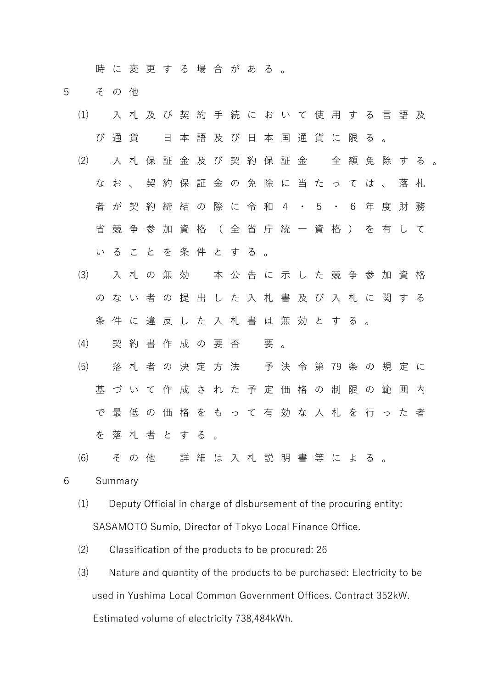時 に 変 更 す る 場 合 が あ る 。

- 5 その他
	- ⑴ 入 札 及 び 契 約 手 続 に お い て 使 用 す る 言 語 及 び通貨 日 本 語 及 び 日 本 国 通 貨 に 限 る 。
	- ⑵ 入 札 保 証 金 及 び 契 約 保 証 金 全 額 免 除 す る 。 な お 、 契 約 保 証 金 の 免 除 に 当 た っ て は 、 落 札 者 が 契 約 締 結 の 際 に 令 和 4 ・ 5 ・ 6 年 度 財 務 省 競 争 参 加 資 格 ( 全 省 庁 統 一 資 格 ) を 有 し て い る こ と を 条 件 と す る 。
	- ⑶ 入 札 の 無 効 本 公 告 に 示 し た 競 争 参 加 資 格 の な い 者 の 提 出 し た 入 札 書 及 び 入 札 に 関 す る 条 件 に 違 反 し た 入 札 書 は 無 効 と す る 。
	- (4) 契 約 書 作 成 の 要 否 受
	- ⑸ 落 札 者 の 決 定 方 法 予決令 第 79 条の規定に 基 づ い て 作 成 さ れ た 予 定 価 格 の 制 限 の 範 囲 内 で 最 低 の 価 格 を も っ て 有 効 な 入 札 を 行 っ た 者 を 落 札 者 と す る 。
	- ⑹ その他 詳 細 は 入 札 説 明 書 等 に よ る 。

6 Summary

- ⑴ Deputy Official in charge of disbursement of the procuring entity: SASAMOTO Sumio, Director of Tokyo Local Finance Office.
- ⑵ Classification of the products to be procured: 26
- ⑶ Nature and quantity of the products to be purchased: Electricity to be used in Yushima Local Common Government Offices. Contract 352kW. Estimated volume of electricity 738,484kWh.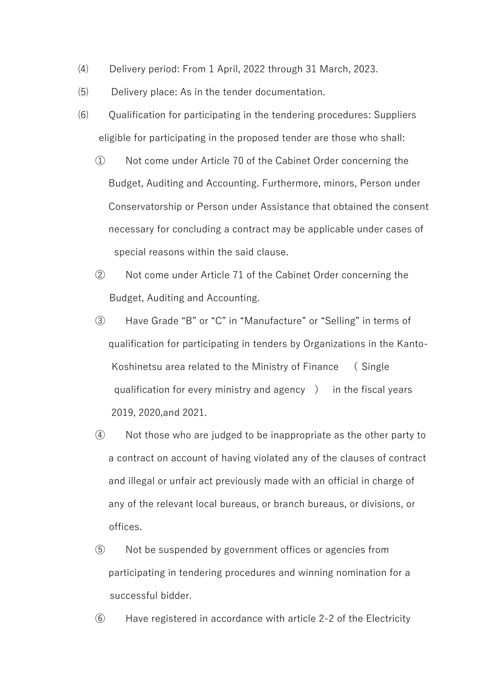- ⑷ Delivery period: From 1 April, 2022 through 31 March, 2023.
- ⑸ Delivery place: As in the tender documentation.
- ⑹ Qualification for participating in the tendering procedures: Suppliers eligible for participating in the proposed tender are those who shall:
	- ① Not come under Article 70 of the Cabinet Order concerning the Budget, Auditing and Accounting. Furthermore, minors, Person under Conservatorship or Person under Assistance that obtained the consent necessary for concluding a contract may be applicable under cases of special reasons within the said clause.
	- ② Not come under Article 71 of the Cabinet Order concerning the Budget, Auditing and Accounting.
	- ③ Have Grade "B"1or "C" in "Manufacture" oy1"Selling" in terms of qualification for participating in tenders by Organizations in the Kanto-Koshinetsu area related to the Ministry of Finance ( Single qualification for every ministry and agency ) in the fiscal years 2019, 2020,and 2021.
	- ④ Not those who are judged to be inappropriate as the other party to a contract on account of having violated any of the clauses of contract and illegal or unfair act previously made with an official in charge of any of the relevant local bureaus, or branch bureaus, or divisions, or offices.
	- ⑤ Not be suspended by government offices or agencies from participating in tendering procedures and winning nomination for a successful bidder.
	- ⑥ Have registered in accordance with article 2-2 of the Electricity